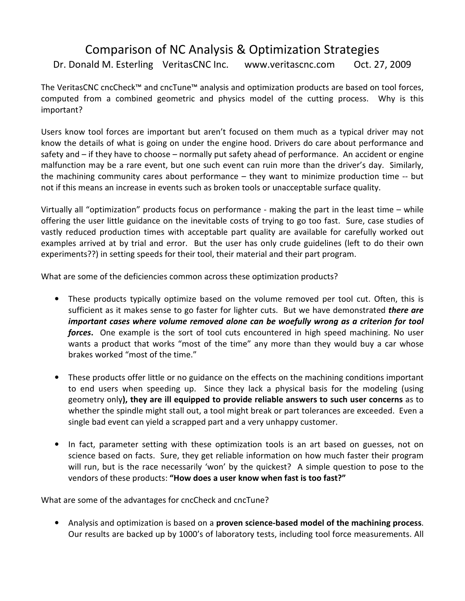## Comparison of NC Analysis & Optimization Strategies Dr. Donald M. Esterling VeritasCNC Inc. www.veritascnc.com Oct. 27, 2009

The VeritasCNC cncCheck™ and cncTune™ analysis and optimization products are based on tool forces, computed from a combined geometric and physics model of the cutting process. Why is this important?

Users know tool forces are important but aren't focused on them much as a typical driver may not know the details of what is going on under the engine hood. Drivers do care about performance and safety and – if they have to choose – normally put safety ahead of performance. An accident or engine malfunction may be a rare event, but one such event can ruin more than the driver's day. Similarly, the machining community cares about performance – they want to minimize production time -- but not if this means an increase in events such as broken tools or unacceptable surface quality.

Virtually all "optimization" products focus on performance - making the part in the least time – while offering the user little guidance on the inevitable costs of trying to go too fast. Sure, case studies of vastly reduced production times with acceptable part quality are available for carefully worked out examples arrived at by trial and error. But the user has only crude guidelines (left to do their own experiments??) in setting speeds for their tool, their material and their part program.

What are some of the deficiencies common across these optimization products?

- These products typically optimize based on the volume removed per tool cut. Often, this is sufficient as it makes sense to go faster for lighter cuts. But we have demonstrated *there are* important cases where volume removed alone can be woefully wrong as a criterion for tool forces. One example is the sort of tool cuts encountered in high speed machining. No user wants a product that works "most of the time" any more than they would buy a car whose brakes worked "most of the time."
- These products offer little or no guidance on the effects on the machining conditions important to end users when speeding up. Since they lack a physical basis for the modeling (using geometry only), they are ill equipped to provide reliable answers to such user concerns as to whether the spindle might stall out, a tool might break or part tolerances are exceeded. Even a single bad event can yield a scrapped part and a very unhappy customer.
- In fact, parameter setting with these optimization tools is an art based on guesses, not on science based on facts. Sure, they get reliable information on how much faster their program will run, but is the race necessarily 'won' by the quickest? A simple question to pose to the vendors of these products: "How does a user know when fast is too fast?"

What are some of the advantages for cncCheck and cncTune?

• Analysis and optimization is based on a **proven science-based model of the machining process**. Our results are backed up by 1000's of laboratory tests, including tool force measurements. All